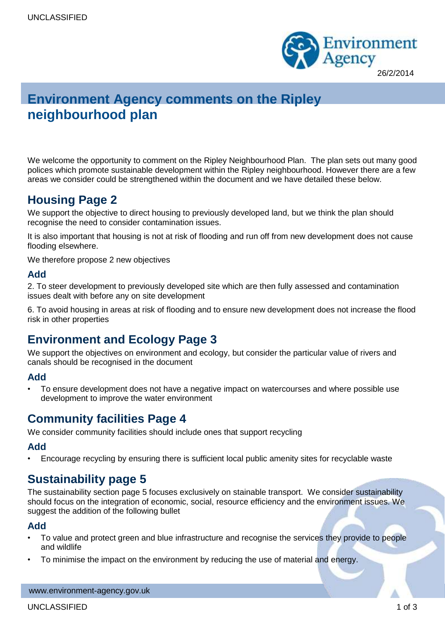

# **Environment Agency comments on the Ripley neighbourhood plan**

We welcome the opportunity to comment on the Ripley Neighbourhood Plan. The plan sets out many good polices which promote sustainable development within the Ripley neighbourhood. However there are a few areas we consider could be strengthened within the document and we have detailed these below.

# **Housing Page 2**

We support the objective to direct housing to previously developed land, but we think the plan should recognise the need to consider contamination issues.

It is also important that housing is not at risk of flooding and run off from new development does not cause flooding elsewhere.

We therefore propose 2 new objectives

#### **Add**

2. To steer development to previously developed site which are then fully assessed and contamination issues dealt with before any on site development

6. To avoid housing in areas at risk of flooding and to ensure new development does not increase the flood risk in other properties

# **Environment and Ecology Page 3**

We support the objectives on environment and ecology, but consider the particular value of rivers and canals should be recognised in the document

### **Add**

• To ensure development does not have a negative impact on watercourses and where possible use development to improve the water environment

## **Community facilities Page 4**

We consider community facilities should include ones that support recycling

### **Add**

• Encourage recycling by ensuring there is sufficient local public amenity sites for recyclable waste

# **Sustainability page 5**

The sustainability section page 5 focuses exclusively on stainable transport. We consider sustainability should focus on the integration of economic, social, resource efficiency and the environment issues. We suggest the addition of the following bullet

#### **Add**

- To value and protect green and blue infrastructure and recognise the services they provide to people and wildlife
- To minimise the impact on the environment by reducing the use of material and energy.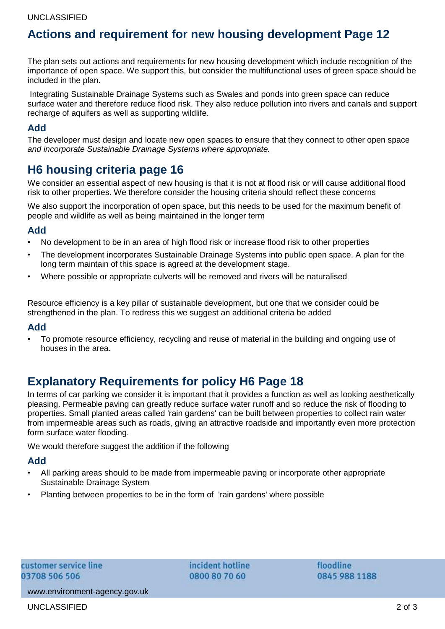# **Actions and requirement for new housing development Page 12**

The plan sets out actions and requirements for new housing development which include recognition of the importance of open space. We support this, but consider the multifunctional uses of green space should be included in the plan.

Integrating Sustainable Drainage Systems such as Swales and ponds into green space can reduce surface water and therefore reduce flood risk. They also reduce pollution into rivers and canals and support recharge of aquifers as well as supporting wildlife.

### **Add**

The developer must design and locate new open spaces to ensure that they connect to other open space *and incorporate Sustainable Drainage Systems where appropriate.*

# **H6 housing criteria page 16**

We consider an essential aspect of new housing is that it is not at flood risk or will cause additional flood risk to other properties. We therefore consider the housing criteria should reflect these concerns

We also support the incorporation of open space, but this needs to be used for the maximum benefit of people and wildlife as well as being maintained in the longer term

### **Add**

- No development to be in an area of high flood risk or increase flood risk to other properties
- The development incorporates Sustainable Drainage Systems into public open space. A plan for the long term maintain of this space is agreed at the development stage.
- Where possible or appropriate culverts will be removed and rivers will be naturalised

Resource efficiency is a key pillar of sustainable development, but one that we consider could be strengthened in the plan. To redress this we suggest an additional criteria be added

#### **Add**

• To promote resource efficiency, recycling and reuse of material in the building and ongoing use of houses in the area.

# **Explanatory Requirements for policy H6 Page 18**

In terms of car parking we consider it is important that it provides a function as well as looking aesthetically pleasing. Permeable paving can greatly reduce surface water runoff and so reduce the risk of flooding to properties. Small planted areas called 'rain gardens' can be built between properties to collect rain water from impermeable areas such as roads, giving an attractive roadside and importantly even more protection form surface water flooding.

We would therefore suggest the addition if the following

### **Add**

- All parking areas should to be made from impermeable paving or incorporate other appropriate Sustainable Drainage System
- Planting between properties to be in the form of 'rain gardens' where possible

incident hotline 0800 80 70 60

floodline 0845 988 1188

www.environment-agency.gov.uk